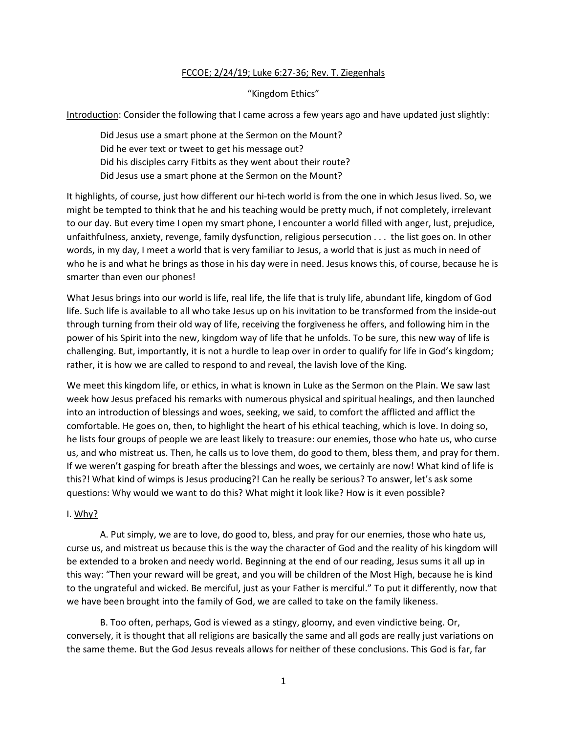## FCCOE; 2/24/19; Luke 6:27-36; Rev. T. Ziegenhals

"Kingdom Ethics"

Introduction: Consider the following that I came across a few years ago and have updated just slightly:

Did Jesus use a smart phone at the Sermon on the Mount? Did he ever text or tweet to get his message out? Did his disciples carry Fitbits as they went about their route? Did Jesus use a smart phone at the Sermon on the Mount?

It highlights, of course, just how different our hi-tech world is from the one in which Jesus lived. So, we might be tempted to think that he and his teaching would be pretty much, if not completely, irrelevant to our day. But every time I open my smart phone, I encounter a world filled with anger, lust, prejudice, unfaithfulness, anxiety, revenge, family dysfunction, religious persecution . . . the list goes on. In other words, in my day, I meet a world that is very familiar to Jesus, a world that is just as much in need of who he is and what he brings as those in his day were in need. Jesus knows this, of course, because he is smarter than even our phones!

What Jesus brings into our world is life, real life, the life that is truly life, abundant life, kingdom of God life. Such life is available to all who take Jesus up on his invitation to be transformed from the inside-out through turning from their old way of life, receiving the forgiveness he offers, and following him in the power of his Spirit into the new, kingdom way of life that he unfolds. To be sure, this new way of life is challenging. But, importantly, it is not a hurdle to leap over in order to qualify for life in God's kingdom; rather, it is how we are called to respond to and reveal, the lavish love of the King.

We meet this kingdom life, or ethics, in what is known in Luke as the Sermon on the Plain. We saw last week how Jesus prefaced his remarks with numerous physical and spiritual healings, and then launched into an introduction of blessings and woes, seeking, we said, to comfort the afflicted and afflict the comfortable. He goes on, then, to highlight the heart of his ethical teaching, which is love. In doing so, he lists four groups of people we are least likely to treasure: our enemies, those who hate us, who curse us, and who mistreat us. Then, he calls us to love them, do good to them, bless them, and pray for them. If we weren't gasping for breath after the blessings and woes, we certainly are now! What kind of life is this?! What kind of wimps is Jesus producing?! Can he really be serious? To answer, let's ask some questions: Why would we want to do this? What might it look like? How is it even possible?

## I. Why?

A. Put simply, we are to love, do good to, bless, and pray for our enemies, those who hate us, curse us, and mistreat us because this is the way the character of God and the reality of his kingdom will be extended to a broken and needy world. Beginning at the end of our reading, Jesus sums it all up in this way: "Then your reward will be great, and you will be children of the Most High, because he is kind to the ungrateful and wicked. Be merciful, just as your Father is merciful." To put it differently, now that we have been brought into the family of God, we are called to take on the family likeness.

B. Too often, perhaps, God is viewed as a stingy, gloomy, and even vindictive being. Or, conversely, it is thought that all religions are basically the same and all gods are really just variations on the same theme. But the God Jesus reveals allows for neither of these conclusions. This God is far, far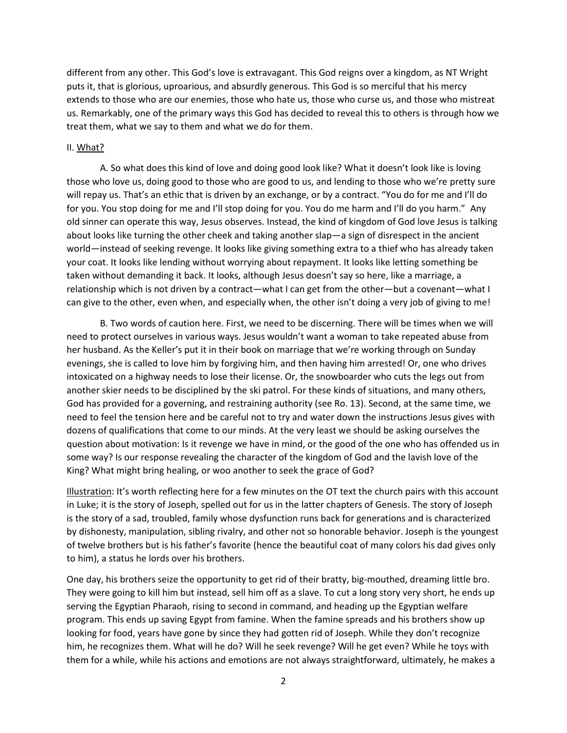different from any other. This God's love is extravagant. This God reigns over a kingdom, as NT Wright puts it, that is glorious, uproarious, and absurdly generous. This God is so merciful that his mercy extends to those who are our enemies, those who hate us, those who curse us, and those who mistreat us. Remarkably, one of the primary ways this God has decided to reveal this to others is through how we treat them, what we say to them and what we do for them.

## II. What?

A. So what does this kind of love and doing good look like? What it doesn't look like is loving those who love us, doing good to those who are good to us, and lending to those who we're pretty sure will repay us. That's an ethic that is driven by an exchange, or by a contract. "You do for me and I'll do for you. You stop doing for me and I'll stop doing for you. You do me harm and I'll do you harm." Any old sinner can operate this way, Jesus observes. Instead, the kind of kingdom of God love Jesus is talking about looks like turning the other cheek and taking another slap—a sign of disrespect in the ancient world—instead of seeking revenge. It looks like giving something extra to a thief who has already taken your coat. It looks like lending without worrying about repayment. It looks like letting something be taken without demanding it back. It looks, although Jesus doesn't say so here, like a marriage, a relationship which is not driven by a contract—what I can get from the other—but a covenant—what I can give to the other, even when, and especially when, the other isn't doing a very job of giving to me!

B. Two words of caution here. First, we need to be discerning. There will be times when we will need to protect ourselves in various ways. Jesus wouldn't want a woman to take repeated abuse from her husband. As the Keller's put it in their book on marriage that we're working through on Sunday evenings, she is called to love him by forgiving him, and then having him arrested! Or, one who drives intoxicated on a highway needs to lose their license. Or, the snowboarder who cuts the legs out from another skier needs to be disciplined by the ski patrol. For these kinds of situations, and many others, God has provided for a governing, and restraining authority (see Ro. 13). Second, at the same time, we need to feel the tension here and be careful not to try and water down the instructions Jesus gives with dozens of qualifications that come to our minds. At the very least we should be asking ourselves the question about motivation: Is it revenge we have in mind, or the good of the one who has offended us in some way? Is our response revealing the character of the kingdom of God and the lavish love of the King? What might bring healing, or woo another to seek the grace of God?

Illustration: It's worth reflecting here for a few minutes on the OT text the church pairs with this account in Luke; it is the story of Joseph, spelled out for us in the latter chapters of Genesis. The story of Joseph is the story of a sad, troubled, family whose dysfunction runs back for generations and is characterized by dishonesty, manipulation, sibling rivalry, and other not so honorable behavior. Joseph is the youngest of twelve brothers but is his father's favorite (hence the beautiful coat of many colors his dad gives only to him), a status he lords over his brothers.

One day, his brothers seize the opportunity to get rid of their bratty, big-mouthed, dreaming little bro. They were going to kill him but instead, sell him off as a slave. To cut a long story very short, he ends up serving the Egyptian Pharaoh, rising to second in command, and heading up the Egyptian welfare program. This ends up saving Egypt from famine. When the famine spreads and his brothers show up looking for food, years have gone by since they had gotten rid of Joseph. While they don't recognize him, he recognizes them. What will he do? Will he seek revenge? Will he get even? While he toys with them for a while, while his actions and emotions are not always straightforward, ultimately, he makes a